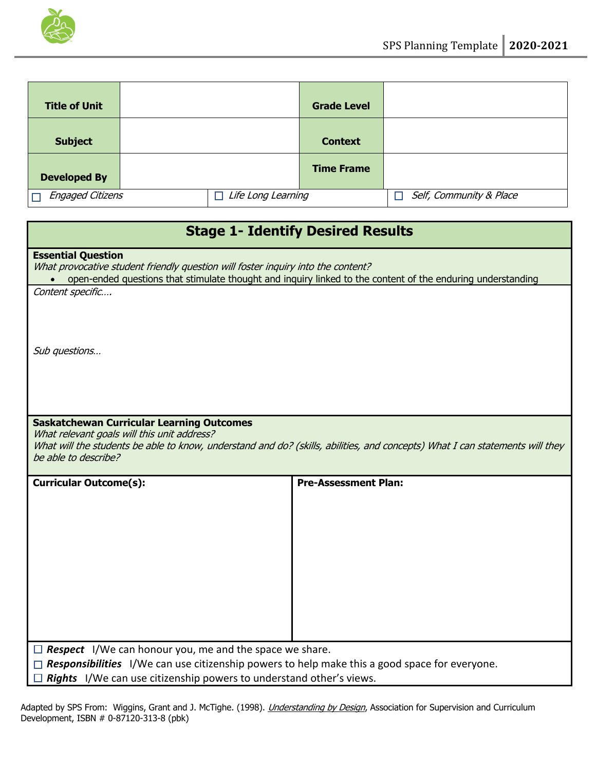

| <b>Title of Unit</b>    |  |                           | <b>Grade Level</b> |                              |
|-------------------------|--|---------------------------|--------------------|------------------------------|
| <b>Subject</b>          |  |                           | <b>Context</b>     |                              |
| <b>Developed By</b>     |  |                           | <b>Time Frame</b>  |                              |
| <b>Engaged Citizens</b> |  | $\Box$ Life Long Learning |                    | Self, Community & Place<br>П |

| <b>Stage 1- Identify Desired Results</b>                                                                                                                                                                                                                        |                                                                                                                              |  |
|-----------------------------------------------------------------------------------------------------------------------------------------------------------------------------------------------------------------------------------------------------------------|------------------------------------------------------------------------------------------------------------------------------|--|
| <b>Essential Question</b><br>What provocative student friendly question will foster inquiry into the content?<br>Content specific                                                                                                                               | open-ended questions that stimulate thought and inquiry linked to the content of the enduring understanding                  |  |
| Sub questions                                                                                                                                                                                                                                                   |                                                                                                                              |  |
| <b>Saskatchewan Curricular Learning Outcomes</b><br>What relevant goals will this unit address?<br>be able to describe?                                                                                                                                         | What will the students be able to know, understand and do? (skills, abilities, and concepts) What I can statements will they |  |
| <b>Curricular Outcome(s):</b>                                                                                                                                                                                                                                   | <b>Pre-Assessment Plan:</b>                                                                                                  |  |
| $\Box$ Respect I/We can honour you, me and the space we share.<br><b><math>\Box</math> Responsibilities</b> I/We can use citizenship powers to help make this a good space for everyone.<br>Rights I/We can use citizenship powers to understand other's views. |                                                                                                                              |  |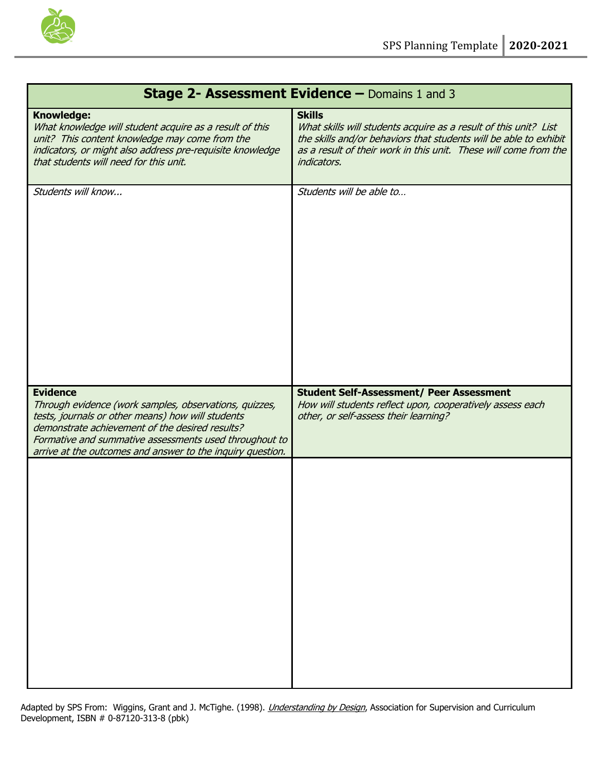

| Stage 2- Assessment Evidence - Domains 1 and 3                                                                                                                                                                                                                                                            |                                                                                                                                                                                                                                           |  |
|-----------------------------------------------------------------------------------------------------------------------------------------------------------------------------------------------------------------------------------------------------------------------------------------------------------|-------------------------------------------------------------------------------------------------------------------------------------------------------------------------------------------------------------------------------------------|--|
| <b>Knowledge:</b><br>What knowledge will student acquire as a result of this<br>unit? This content knowledge may come from the<br>indicators, or might also address pre-requisite knowledge<br>that students will need for this unit.                                                                     | <b>Skills</b><br>What skills will students acquire as a result of this unit? List<br>the skills and/or behaviors that students will be able to exhibit<br>as a result of their work in this unit. These will come from the<br>indicators. |  |
| Students will know                                                                                                                                                                                                                                                                                        | Students will be able to                                                                                                                                                                                                                  |  |
| <b>Evidence</b><br>Through evidence (work samples, observations, quizzes,<br>tests, journals or other means) how will students<br>demonstrate achievement of the desired results?<br>Formative and summative assessments used throughout to<br>arrive at the outcomes and answer to the inquiry question. | <b>Student Self-Assessment/ Peer Assessment</b><br>How will students reflect upon, cooperatively assess each<br>other, or self-assess their learning?                                                                                     |  |
|                                                                                                                                                                                                                                                                                                           |                                                                                                                                                                                                                                           |  |

#### Adapted by SPS From: Wiggins, Grant and J. McTighe. (1998). *<u>Understanding by Design</u>*, Association for Supervision and Curriculum Development, ISBN # 0-87120-313-8 (pbk)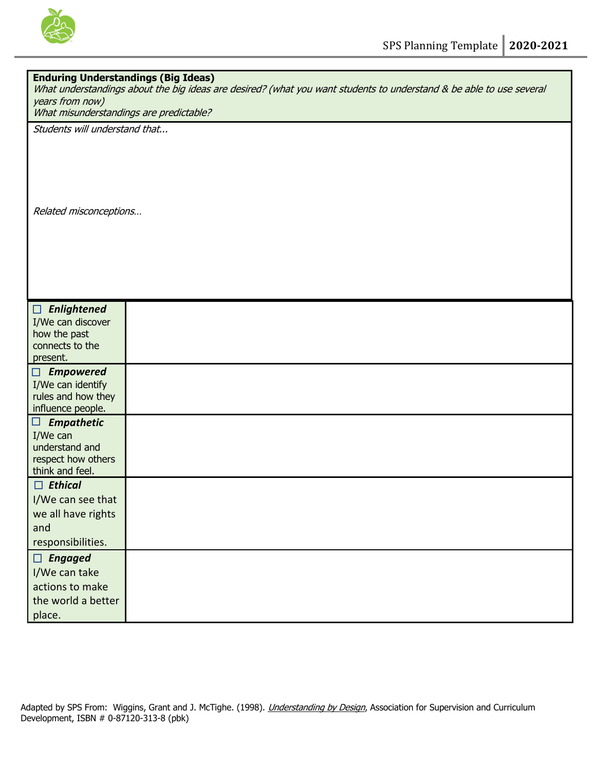

| <b>Enduring Understandings (Big Ideas)</b><br>What understandings about the big ideas are desired? (what you want students to understand & be able to use several<br>years from now)<br>What misunderstandings are predictable? |  |  |
|---------------------------------------------------------------------------------------------------------------------------------------------------------------------------------------------------------------------------------|--|--|
| Students will understand that                                                                                                                                                                                                   |  |  |
| Related misconceptions                                                                                                                                                                                                          |  |  |
|                                                                                                                                                                                                                                 |  |  |
| Enlightened<br>$\Box$<br>I/We can discover<br>how the past<br>connects to the<br>present.                                                                                                                                       |  |  |
| $\Box$ Empowered<br>I/We can identify<br>rules and how they<br>influence people.                                                                                                                                                |  |  |
| <b>Empathetic</b><br>$\Box$<br>I/We can<br>understand and<br>respect how others<br>think and feel.                                                                                                                              |  |  |
| $\Box$ Ethical<br>I/We can see that<br>we all have rights<br>and<br>responsibilities.                                                                                                                                           |  |  |
| $\Box$ Engaged<br>I/We can take<br>actions to make<br>the world a better<br>place.                                                                                                                                              |  |  |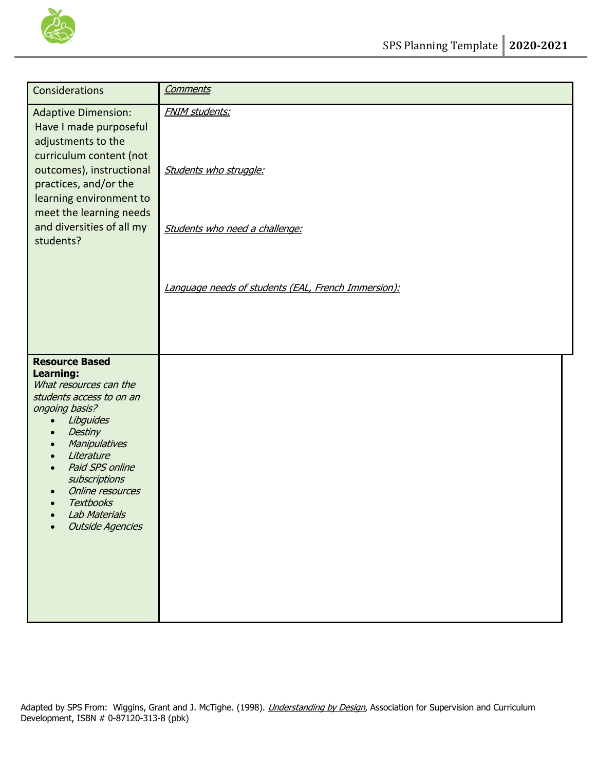

| Considerations                                                                                                                                                                                                                                                                                                                                                                 | <b>Comments</b>                                                                                                                          |
|--------------------------------------------------------------------------------------------------------------------------------------------------------------------------------------------------------------------------------------------------------------------------------------------------------------------------------------------------------------------------------|------------------------------------------------------------------------------------------------------------------------------------------|
| <b>Adaptive Dimension:</b><br>Have I made purposeful<br>adjustments to the<br>curriculum content (not<br>outcomes), instructional<br>practices, and/or the<br>learning environment to<br>meet the learning needs<br>and diversities of all my<br>students?                                                                                                                     | <b>FNIM students:</b><br>Students who struggle:<br>Students who need a challenge:<br>Language needs of students (EAL, French Immersion): |
| <b>Resource Based</b><br><b>Learning:</b><br>What resources can the<br>students access to on an<br>ongoing basis?<br>Libguides<br>$\bullet$<br>Destiny<br>$\bullet$<br>Manipulatives<br>$\bullet$<br>Literature<br>$\bullet$<br>Paid SPS online<br>$\bullet$<br>subscriptions<br>Online resources<br><b>Textbooks</b><br>$\bullet$<br>Lab Materials<br><b>Outside Agencies</b> |                                                                                                                                          |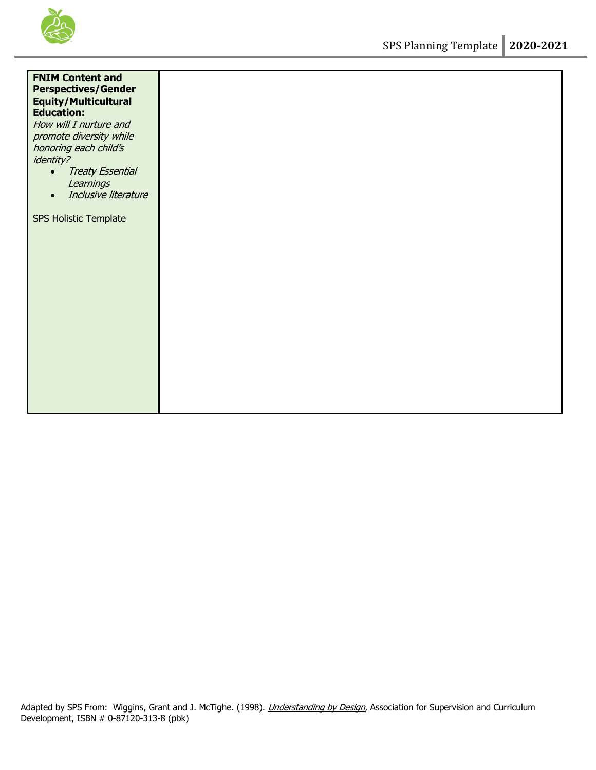

| <b>FNIM Content and</b><br><b>Perspectives/Gender</b><br><b>Equity/Multicultural</b><br><b>Education:</b><br>How will I nurture and<br>promote diversity while<br>honoring each child's<br><i>identity?</i><br><b>Treaty Essential</b><br>$\bullet$<br>Learnings<br>Inclusive literature<br>$\bullet$ |
|-------------------------------------------------------------------------------------------------------------------------------------------------------------------------------------------------------------------------------------------------------------------------------------------------------|
| SPS Holistic Template                                                                                                                                                                                                                                                                                 |
|                                                                                                                                                                                                                                                                                                       |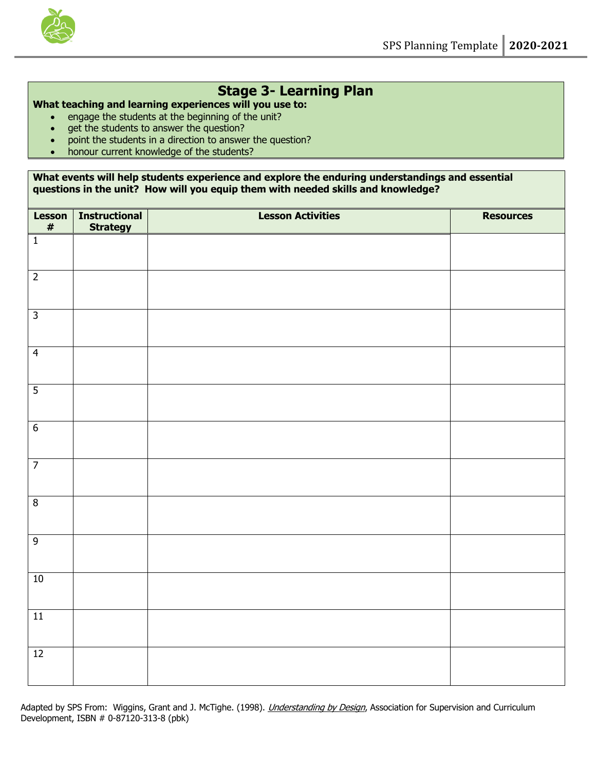

# **Stage 3- Learning Plan**

### **What teaching and learning experiences will you use to:**

- engage the students at the beginning of the unit?
- get the students to answer the question?
- point the students in a direction to answer the question?
- honour current knowledge of the students?

### **What events will help students experience and explore the enduring understandings and essential questions in the unit? How will you equip them with needed skills and knowledge?**

| <b>Lesson</b><br>$\pmb{\#}$ | <b>Instructional</b><br><b>Strategy</b> | <b>Lesson Activities</b> | <b>Resources</b> |
|-----------------------------|-----------------------------------------|--------------------------|------------------|
| $\overline{1}$              |                                         |                          |                  |
| $\overline{2}$              |                                         |                          |                  |
| $\overline{3}$              |                                         |                          |                  |
| $\overline{4}$              |                                         |                          |                  |
| $\overline{5}$              |                                         |                          |                  |
| $6\overline{6}$             |                                         |                          |                  |
| $\overline{7}$              |                                         |                          |                  |
| $\infty$                    |                                         |                          |                  |
| $\overline{9}$              |                                         |                          |                  |
| 10                          |                                         |                          |                  |
| $\overline{11}$             |                                         |                          |                  |
| 12                          |                                         |                          |                  |

Adapted by SPS From: Wiggins, Grant and J. McTighe. (1998). *Understanding by Design*, Association for Supervision and Curriculum Development, ISBN # 0-87120-313-8 (pbk)